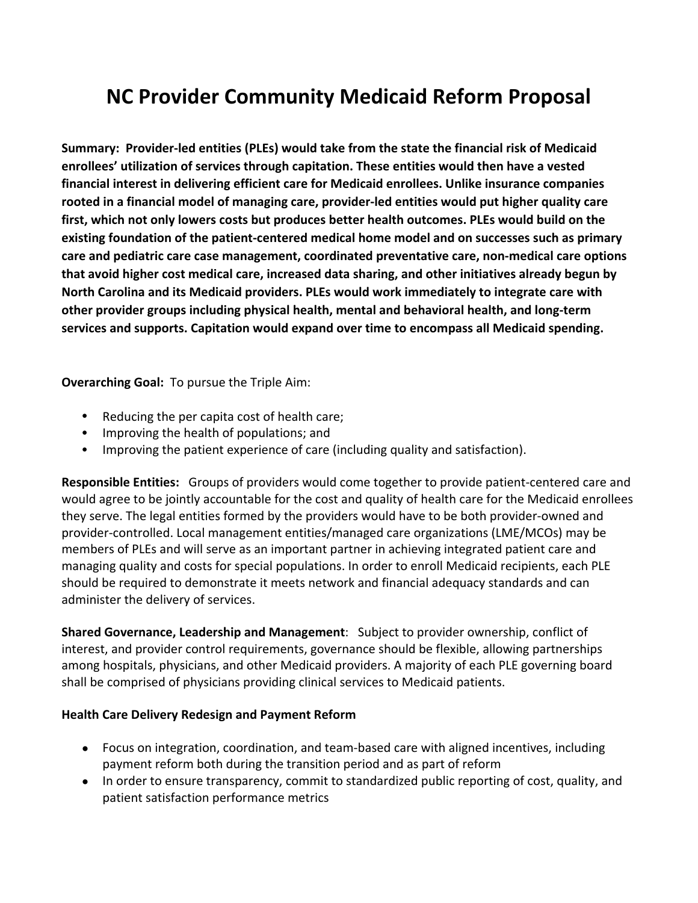## **NC Provider Community Medicaid Reform Proposal**

**Summary: Provider-led entities (PLEs) would take from the state the financial risk of Medicaid enrollees' utilization of services through capitation. These entities would then have a vested financial interest in delivering efficient care for Medicaid enrollees. Unlike insurance companies rooted in a financial model of managing care, provider-led entities would put higher quality care first, which not only lowers costs but produces better health outcomes. PLEs would build on the existing foundation of the patient-centered medical home model and on successes such as primary care and pediatric care case management, coordinated preventative care, non-medical care options that avoid higher cost medical care, increased data sharing, and other initiatives already begun by North Carolina and its Medicaid providers. PLEs would work immediately to integrate care with other provider groups including physical health, mental and behavioral health, and long-term services and supports. Capitation would expand over time to encompass all Medicaid spending.**

**Overarching Goal:** To pursue the Triple Aim:

- Reducing the per capita cost of health care;
- Improving the health of populations; and
- Improving the patient experience of care (including quality and satisfaction).

**Responsible Entities:** Groups of providers would come together to provide patient-centered care and would agree to be jointly accountable for the cost and quality of health care for the Medicaid enrollees they serve. The legal entities formed by the providers would have to be both provider-owned and provider-controlled. Local management entities/managed care organizations (LME/MCOs) may be members of PLEs and will serve as an important partner in achieving integrated patient care and managing quality and costs for special populations. In order to enroll Medicaid recipients, each PLE should be required to demonstrate it meets network and financial adequacy standards and can administer the delivery of services.

**Shared Governance, Leadership and Management**: Subject to provider ownership, conflict of interest, and provider control requirements, governance should be flexible, allowing partnerships among hospitals, physicians, and other Medicaid providers. A majority of each PLE governing board shall be comprised of physicians providing clinical services to Medicaid patients.

## **Health Care Delivery Redesign and Payment Reform**

- Focus on integration, coordination, and team-based care with aligned incentives, including payment reform both during the transition period and as part of reform
- In order to ensure transparency, commit to standardized public reporting of cost, quality, and patient satisfaction performance metrics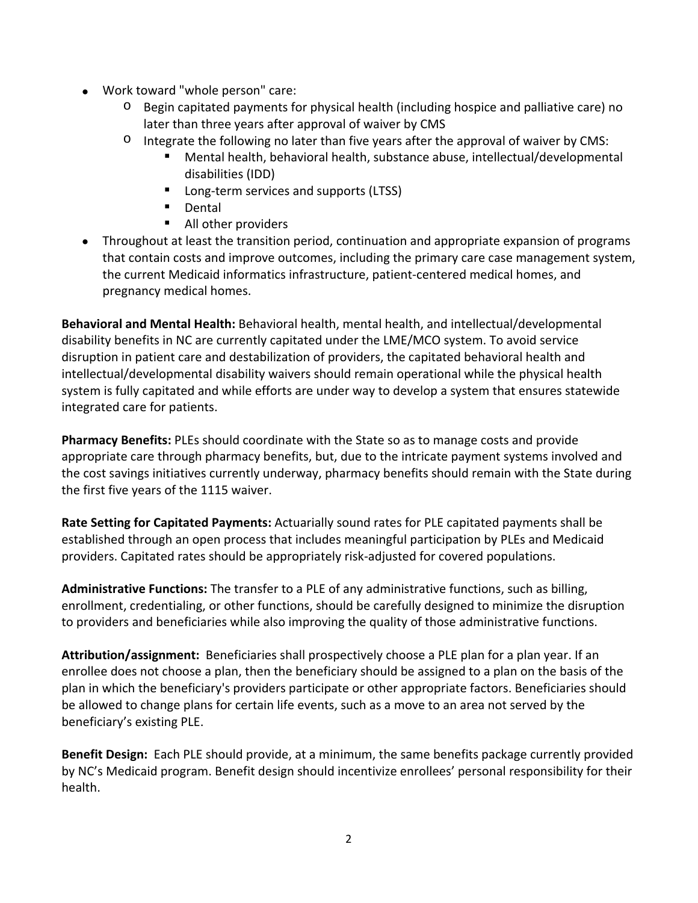- Work toward "whole person" care:
	- $\circ$  Begin capitated payments for physical health (including hospice and palliative care) no later than three years after approval of waiver by CMS
	- $\circ$  Integrate the following no later than five years after the approval of waiver by CMS:
		- Mental health, behavioral health, substance abuse, intellectual/developmental disabilities (IDD)
		- **Long-term services and supports (LTSS)**
		- **Dental**
		- All other providers
- Throughout at least the transition period, continuation and appropriate expansion of programs that contain costs and improve outcomes, including the primary care case management system, the current Medicaid informatics infrastructure, patient-centered medical homes, and pregnancy medical homes.

**Behavioral and Mental Health:** Behavioral health, mental health, and intellectual/developmental disability benefits in NC are currently capitated under the LME/MCO system. To avoid service disruption in patient care and destabilization of providers, the capitated behavioral health and intellectual/developmental disability waivers should remain operational while the physical health system is fully capitated and while efforts are under way to develop a system that ensures statewide integrated care for patients.

**Pharmacy Benefits:** PLEs should coordinate with the State so as to manage costs and provide appropriate care through pharmacy benefits, but, due to the intricate payment systems involved and the cost savings initiatives currently underway, pharmacy benefits should remain with the State during the first five years of the 1115 waiver.

**Rate Setting for Capitated Payments:** Actuarially sound rates for PLE capitated payments shall be established through an open process that includes meaningful participation by PLEs and Medicaid providers. Capitated rates should be appropriately risk-adjusted for covered populations.

**Administrative Functions:** The transfer to a PLE of any administrative functions, such as billing, enrollment, credentialing, or other functions, should be carefully designed to minimize the disruption to providers and beneficiaries while also improving the quality of those administrative functions.

**Attribution/assignment:** Beneficiaries shall prospectively choose a PLE plan for a plan year. If an enrollee does not choose a plan, then the beneficiary should be assigned to a plan on the basis of the plan in which the beneficiary's providers participate or other appropriate factors. Beneficiaries should be allowed to change plans for certain life events, such as a move to an area not served by the beneficiary's existing PLE.

**Benefit Design:** Each PLE should provide, at a minimum, the same benefits package currently provided by NC's Medicaid program. Benefit design should incentivize enrollees' personal responsibility for their health.